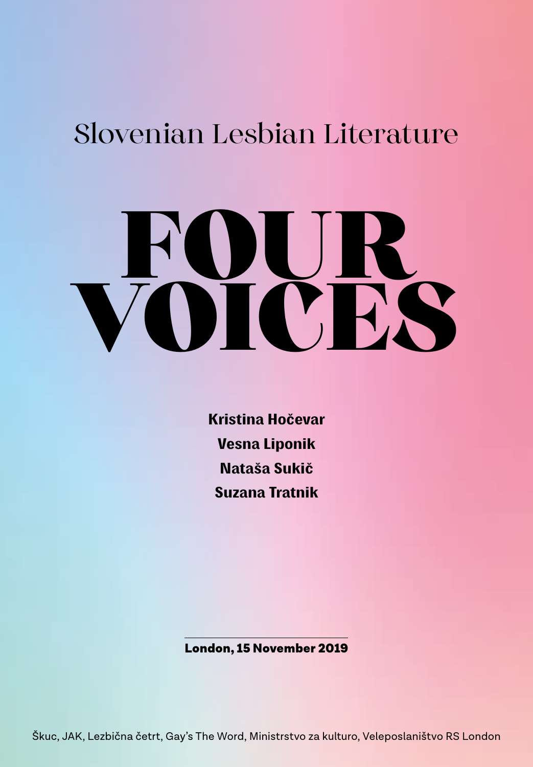# Slovenian Lesbian Literature

# FOUR. VOICES

Kristina Hočevar Vesna Liponik Nataša Sukič Suzana Tratnik

London, 15 November 2019

Škuc, JAK, Lezbična četrt, Gay's The Word, Ministrstvo za kulturo, Veleposlaništvo RS London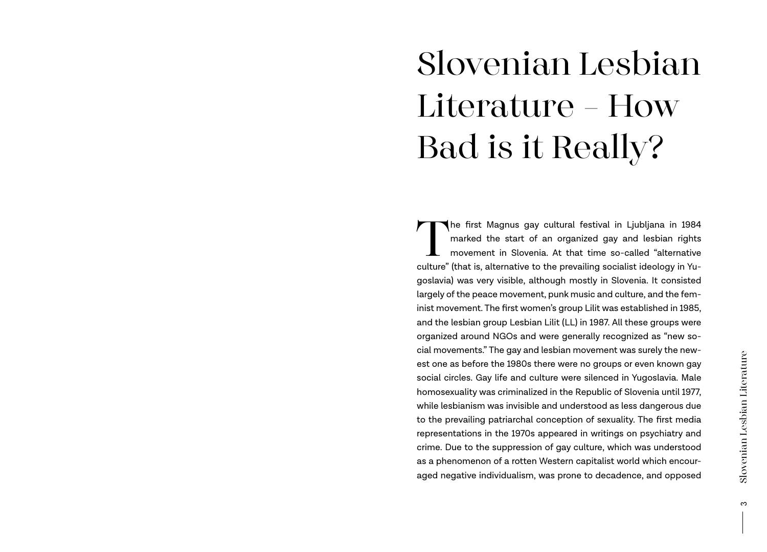# Slovenian Lesbian Literature — How Bad is it Really?

The first Magnus gay cultural festival in Ljubljana in 1984<br>marked the start of an organized gay and lesbian rights<br>movement in Slovenia. At that time so-called "alternative<br>culture" (that is alternative to the prevailing marked the start of an organized gay and lesbian rights movement in Slovenia. At that time so-called "alternative culture" (that is, alternative to the prevailing socialist ideology in Yugoslavia) was very visible, although mostly in Slovenia. It consisted largely of the peace movement, punk music and culture, and the feminist movement. The first women's group Lilit was established in 1985, and the lesbian group Lesbian Lilit (LL) in 1987. All these groups were organized around NGOs and were generally recognized as "new social movements." The gay and lesbian movement was surely the newest one as before the 1980s there were no groups or even known gay social circles. Gay life and culture were silenced in Yugoslavia. Male homosexuality was criminalized in the Republic of Slovenia until 1977, while lesbianism was invisible and understood as less dangerous due to the prevailing patriarchal conception of sexuality. The first media representations in the 1970s appeared in writings on psychiatry and crime. Due to the suppression of gay culture, which was understood as a phenomenon of a rotten Western capitalist world which encouraged negative individualism, was prone to decadence, and opposed

ო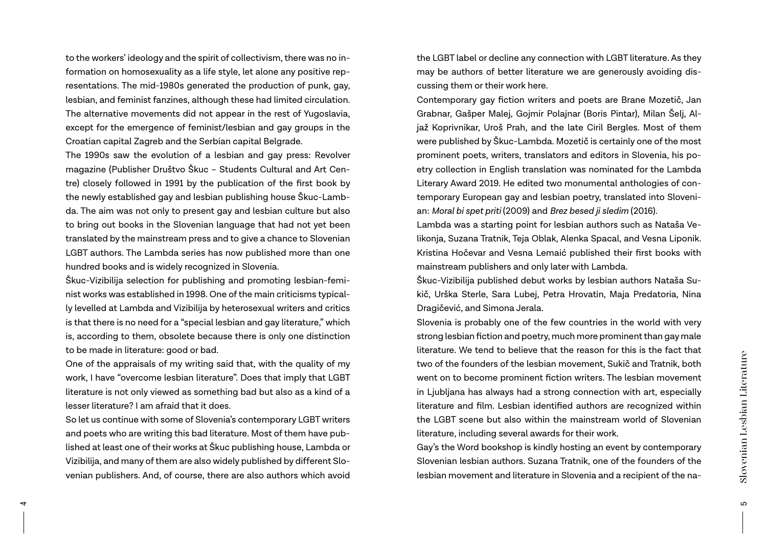to the workers' ideology and the spirit of collectivism, there was no information on homosexuality as a life style, let alone any positive representations. The mid-1980s generated the production of punk, gay, lesbian, and feminist fanzines, although these had limited circulation. The alternative movements did not appear in the rest of Yugoslavia, except for the emergence of feminist/lesbian and gay groups in the Croatian capital Zagreb and the Serbian capital Belgrade.

The 1990s saw the evolution of a lesbian and gay press: Revolver magazine (Publisher Društvo Škuc – Students Cultural and Art Centre) closely followed in 1991 by the publication of the first book by the newly established gay and lesbian publishing house Škuc-Lambda. The aim was not only to present gay and lesbian culture but also to bring out books in the Slovenian language that had not yet been translated by the mainstream press and to give a chance to Slovenian LGBT authors. The Lambda series has now published more than one hundred books and is widely recognized in Slovenia.

Škuc-Vizibilija selection for publishing and promoting lesbian-feminist works was established in 1998. One of the main criticisms typically levelled at Lambda and Vizibilija by heterosexual writers and critics is that there is no need for a "special lesbian and gay literature," which is, according to them, obsolete because there is only one distinction to be made in literature: good or bad.

One of the appraisals of my writing said that, with the quality of my work, I have "overcome lesbian literature". Does that imply that LGBT literature is not only viewed as something bad but also as a kind of a lesser literature? I am afraid that it does.

So let us continue with some of Slovenia's contemporary LGBT writers and poets who are writing this bad literature. Most of them have published at least one of their works at Škuc publishing house, Lambda or Vizibilija, and many of them are also widely published by different Slovenian publishers. And, of course, there are also authors which avoid

4

the LGBT label or decline any connection with LGBT literature. As they may be authors of better literature we are generously avoiding discussing them or their work here.

Contemporary gay fiction writers and poets are Brane Mozetič, Jan Grabnar, Gašper Malej, Gojmir Polajnar (Boris Pintar), Milan Šelj, Aljaž Koprivnikar, Uroš Prah, and the late Ciril Bergles. Most of them were published by Škuc-Lambda. Mozetič is certainly one of the most prominent poets, writers, translators and editors in Slovenia, his poetry collection in English translation was nominated for the Lambda Literary Award 2019. He edited two monumental anthologies of contemporary European gay and lesbian poetry, translated into Slovenian: *Moral bi spet priti* (2009) and *Brez besed ji sledim* (2016).

Lambda was a starting point for lesbian authors such as Nataša Velikonja, Suzana Tratnik, Teja Oblak, Alenka Spacal, and Vesna Liponik. Kristina Hočevar and Vesna Lemaić published their first books with mainstream publishers and only later with Lambda.

Škuc-Vizibilija published debut works by lesbian authors Nataša Sukič, Urška Sterle, Sara Lubej, Petra Hrovatin, Maja Predatoria, Nina Dragičević, and Simona Jerala.

Slovenia is probably one of the few countries in the world with very strong lesbian fiction and poetry, much more prominent than gay male literature. We tend to believe that the reason for this is the fact that two of the founders of the lesbian movement, Sukič and Tratnik, both went on to become prominent fiction writers. The lesbian movement in Ljubljana has always had a strong connection with art, especially literature and film. Lesbian identified authors are recognized within the LGBT scene but also within the mainstream world of Slovenian literature, including several awards for their work.

Gay's the Word bookshop is kindly hosting an event by contemporary Slovenian lesbian authors. Suzana Tratnik, one of the founders of the lesbian movement and literature in Slovenia and a recipient of the na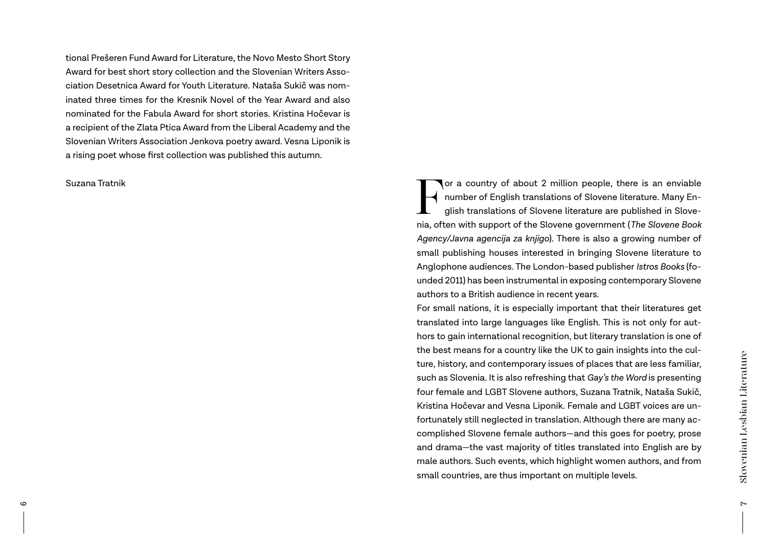tional Prešeren Fund Award for Literature, the Novo Mesto Short Story Award for best short story collection and the Slovenian Writers Association Desetnica Award for Youth Literature. Nataša Sukič was nominated three times for the Kresnik Novel of the Year Award and also nominated for the Fabula Award for short stories. Kristina Hočevar is a recipient of the Zlata Ptica Award from the Liberal Academy and the Slovenian Writers Association Jenkova poetry award. Vesna Liponik is a rising poet whose first collection was published this autumn.

Suzana Tratnik<br>
Suzana Tratnik<br>
Thumber of English translations of Slovene literature. Many English translations of Slovene literature. Many English translations of Slovene literature are published in Slovene<br>
pia often wi number of English translations of Slovene literature. Many English translations of Slovene literature are published in Slovenia, often with support of the Slovene government (*The Slovene Book Agency/Javna agencija za knjigo*). There is also a growing number of small publishing houses interested in bringing Slovene literature to Anglophone audiences. The London-based publisher *Istros Books* (founded 2011) has been instrumental in exposing contemporary Slovene authors to a British audience in recent years.

> For small nations, it is especially important that their literatures get translated into large languages like English. This is not only for authors to gain international recognition, but literary translation is one of the best means for a country like the UK to gain insights into the culture, history, and contemporary issues of places that are less familiar, such as Slovenia. It is also refreshing that *Gay's the Word* is presenting four female and LGBT Slovene authors, Suzana Tratnik, Nataša Sukič, Kristina Hočevar and Vesna Liponik. Female and LGBT voices are unfortunately still neglected in translation. Although there are many accomplished Slovene female authors—and this goes for poetry, prose and drama—the vast majority of titles translated into English are by male authors. Such events, which highlight women authors, and from small countries, are thus important on multiple levels.

 $\sim$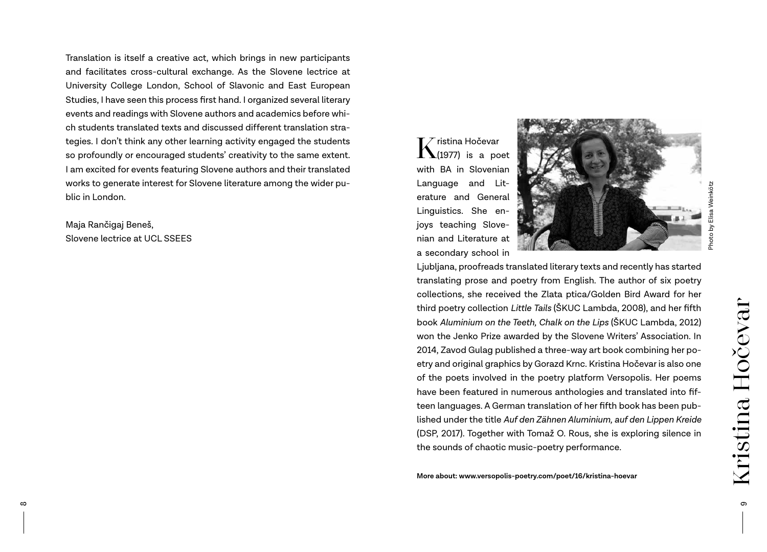Translation is itself a creative act, which brings in new participants and facilitates cross-cultural exchange. As the Slovene lectrice at University College London, School of Slavonic and East European Studies, I have seen this process first hand. I organized several literary events and readings with Slovene authors and academics before which students translated texts and discussed different translation strategies. I don't think any other learning activity engaged the students so profoundly or encouraged students' creativity to the same extent. I am excited for events featuring Slovene authors and their translated works to generate interest for Slovene literature among the wider public in London.

Maja Rančigaj Beneš, Slovene lectrice at UCL SSEES

 $\int_{(1977)}$  is a poet with BA in Slovenian Language and Literature and General Linguistics. She enjoys teaching Slovenian and Literature at a secondary school in



Photo by Elisa Weinkötz Photo by Elisa

Ljubljana, proofreads translated literary texts and recently has started translating prose and poetry from English. The author of six poetry collections, she received the Zlata ptica/Golden Bird Award for her third poetry collection *Little Tails* (ŠKUC Lambda, 2008), and her fifth book *Aluminium on the Teeth, Chalk on the Lips* (ŠKUC Lambda, 2012) won the Jenko Prize awarded by the Slovene Writers' Association. In 2014, Zavod Gulag published a three-way art book combining her poetry and original graphics by Gorazd Krnc. Kristina Hočevar is also one of the poets involved in the poetry platform Versopolis. Her poems have been featured in numerous anthologies and translated into fifteen languages. A German translation of her fifth book has been published under the title *Auf den Zähnen Aluminium, auf den Lippen Kreide* (DSP, 2017). Together with Tomaž O. Rous, she is exploring silence in the sounds of chaotic music-poetry performance.

**More about: www.versopolis-poetry.com/poet/16/kristina-hoevar**

 $\sigma$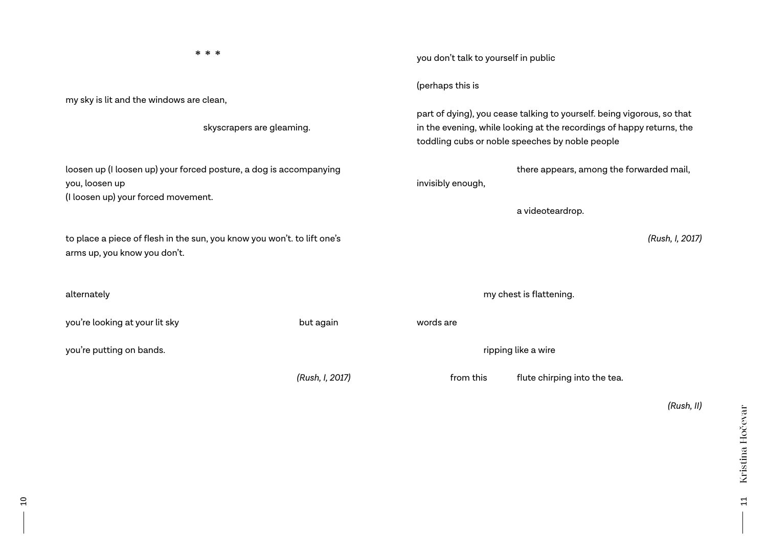| * * *                                                                                                                       |  |                 | you don't talk to yourself in public                                                                                                                                                               |                                          |
|-----------------------------------------------------------------------------------------------------------------------------|--|-----------------|----------------------------------------------------------------------------------------------------------------------------------------------------------------------------------------------------|------------------------------------------|
| my sky is lit and the windows are clean,<br>skyscrapers are gleaming.                                                       |  |                 | (perhaps this is                                                                                                                                                                                   |                                          |
|                                                                                                                             |  |                 | part of dying), you cease talking to yourself. being vigorous, so that<br>in the evening, while looking at the recordings of happy returns, the<br>toddling cubs or noble speeches by noble people |                                          |
| loosen up (I loosen up) your forced posture, a dog is accompanying<br>you, loosen up<br>(I loosen up) your forced movement. |  |                 | invisibly enough,                                                                                                                                                                                  | there appears, among the forwarded mail, |
|                                                                                                                             |  |                 |                                                                                                                                                                                                    | a videoteardrop.                         |
| to place a piece of flesh in the sun, you know you won't. to lift one's<br>arms up, you know you don't.                     |  |                 |                                                                                                                                                                                                    | (Rush, I, 2017)                          |
| alternately                                                                                                                 |  |                 |                                                                                                                                                                                                    | my chest is flattening.                  |
| you're looking at your lit sky                                                                                              |  | but again       | words are                                                                                                                                                                                          |                                          |
| you're putting on bands.                                                                                                    |  |                 | ripping like a wire                                                                                                                                                                                |                                          |
|                                                                                                                             |  | (Rush, I, 2017) | from this                                                                                                                                                                                          | flute chirping into the tea.             |

 $\overline{1}$ 

*(Rush, II)*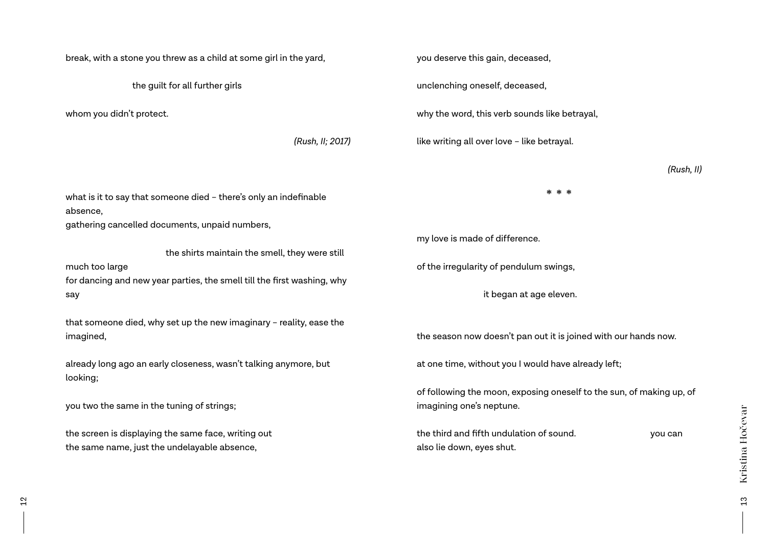break, with a stone you threw as a child at some girl in the yard,

the guilt for all further girls

whom you didn't protect.

 *(Rush, II; 2017)*

you deserve this gain, deceased,

unclenching oneself, deceased,

why the word, this verb sounds like betrayal,

like writing all over love – like betrayal.

*(Rush, II)*

what is it to say that someone died – there's only an indefinable absence,

gathering cancelled documents, unpaid numbers,

the shirts maintain the smell, they were still

much too large

for dancing and new year parties, the smell till the first washing, why say

that someone died, why set up the new imaginary – reality, ease the imagined,

already long ago an early closeness, wasn't talking anymore, but looking;

you two the same in the tuning of strings;

the screen is displaying the same face, writing out the same name, just the undelayable absence,

my love is made of difference.

of the irregularity of pendulum swings,

it began at age eleven.

the season now doesn't pan out it is joined with our hands now.

\* \* \*

at one time, without you I would have already left;

of following the moon, exposing oneself to the sun, of making up, of imagining one's neptune.

| the third and fifth undulation of sound. | you can |
|------------------------------------------|---------|
| also lie down, eyes shut.                |         |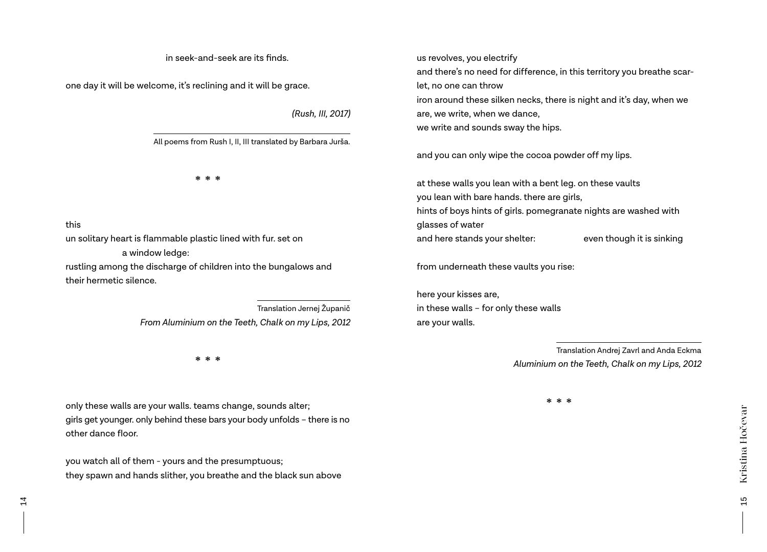in seek-and-seek are its finds.

one day it will be welcome, it's reclining and it will be grace.

*(Rush, III, 2017)*

All poems from Rush I, II, III translated by Barbara Jurša.

\* \* \*

this

un solitary heart is flammable plastic lined with fur. set on

a window ledge:

rustling among the discharge of children into the bungalows and their hermetic silence.

> Translation Jernej Županič *From Aluminium on the Teeth, Chalk on my Lips, 2012*

> > \* \* \*

only these walls are your walls. teams change, sounds alter; girls get younger. only behind these bars your body unfolds – there is no other dance floor.

you watch all of them - yours and the presumptuous; they spawn and hands slither, you breathe and the black sun above us revolves, you electrify and there's no need for difference, in this territory you breathe scarlet, no one can throw iron around these silken necks, there is night and it's day, when we are, we write, when we dance, we write and sounds sway the hips.

and you can only wipe the cocoa powder off my lips.

at these walls you lean with a bent leg. on these vaults you lean with bare hands. there are girls, hints of boys hints of girls. pomegranate nights are washed with glasses of water and here stands your shelter: even though it is sinking

from underneath these vaults you rise:

here your kisses are, in these walls – for only these walls are your walls.

> Translation Andrej Zavrl and Anda Eckma *Aluminium on the Teeth, Chalk on my Lips, 2012*

> > \* \* \*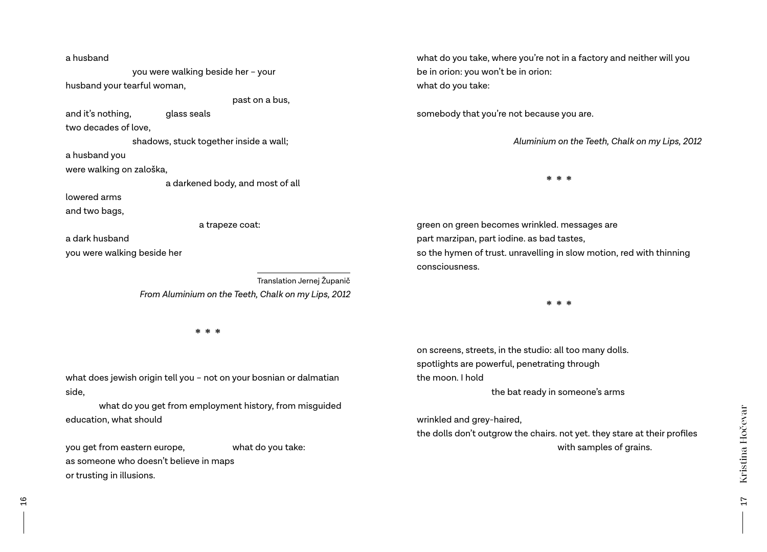a husband you were walking beside her – your husband your tearful woman, past on a bus, and it's nothing, and it's nothing, two decades of love, shadows, stuck together inside a wall; a husband you were walking on zaloška, a darkened body, and most of all lowered arms and two bags, a trapeze coat: a dark husband you were walking beside her Translation Jernej Županič *From Aluminium on the Teeth, Chalk on my Lips, 2012*

\* \* \*

what does jewish origin tell you – not on your bosnian or dalmatian side,

what do you get from employment history, from misguided education, what should

you get from eastern europe, what do you take: as someone who doesn't believe in maps or trusting in illusions.

what do you take, where you're not in a factory and neither will you be in orion: you won't be in orion: what do you take:

somebody that you're not because you are.

*Aluminium on the Teeth, Chalk on my Lips, 2012*

\* \* \*

green on green becomes wrinkled. messages are part marzipan, part iodine. as bad tastes, so the hymen of trust. unravelling in slow motion, red with thinning consciousness.

\* \* \*

on screens, streets, in the studio: all too many dolls. spotlights are powerful, penetrating through the moon. I hold

the bat ready in someone's arms

wrinkled and grey-haired,

the dolls don't outgrow the chairs. not yet. they stare at their profiles with samples of grains.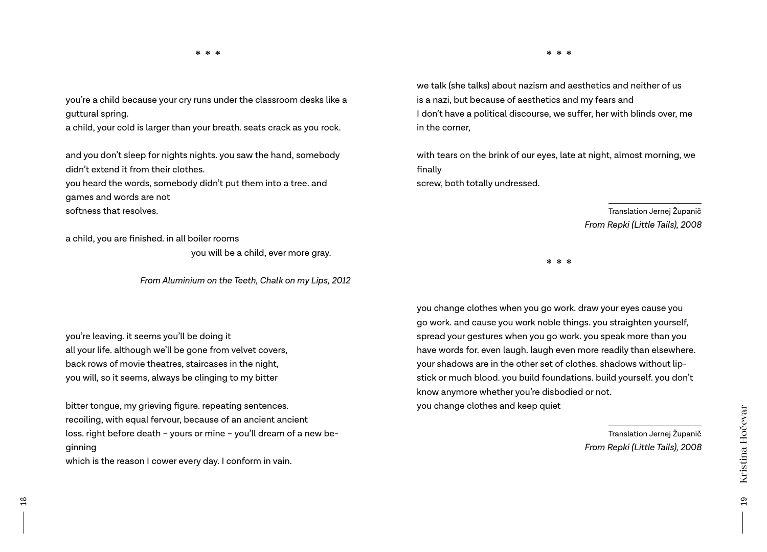you're a child because your cry runs under the classroom desks like a guttural spring.

a child, your cold is larger than your breath. seats crack as you rock.

and you don't sleep for nights nights. you saw the hand, somebody didn't extend it from their clothes. you heard the words, somebody didn't put them into a tree. and games and words are not

softness that resolves.

a child, you are finished. in all boiler rooms

you will be a child, ever more gray.

*From Aluminium on the Teeth, Chalk on my Lips, 2012*

you're leaving. it seems you'll be doing it all your life. although we'll be gone from velvet covers, back rows of movie theatres, staircases in the night, you will, so it seems, always be clinging to my bitter

bitter tongue, my grieving figure. repeating sentences. recoiling, with equal fervour, because of an ancient ancient loss. right before death – yours or mine – you'll dream of a new beginning which is the reason I cower every day. I conform in vain.

we talk (she talks) about nazism and aesthetics and neither of us is a nazi, but because of aesthetics and my fears and I don't have a political discourse, we suffer, her with blinds over, me in the corner,

with tears on the brink of our eyes, late at night, almost morning, we finally screw, both totally undressed.

> Translation Jernej Županič *From Repki (Little Tails), 2008*

\* \* \*

you change clothes when you go work. draw your eyes cause you go work. and cause you work noble things. you straighten yourself, spread your gestures when you go work. you speak more than you have words for. even laugh. laugh even more readily than elsewhere. your shadows are in the other set of clothes. shadows without lipstick or much blood. you build foundations. build yourself. you don't know anymore whether you're disbodied or not. you change clothes and keep quiet

> Translation Jernej Županič *From Repki (Little Tails), 2008*

19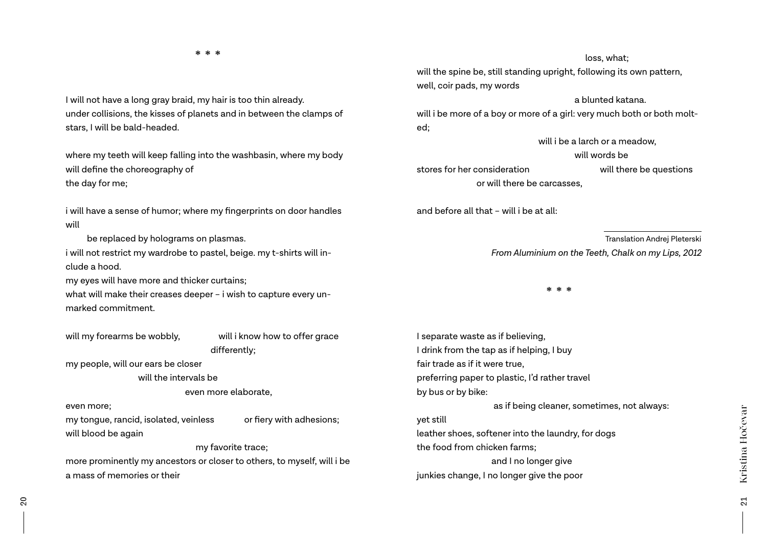#### \* \* \*

I will not have a long gray braid, my hair is too thin already. under collisions, the kisses of planets and in between the clamps of stars, I will be bald-headed.

where my teeth will keep falling into the washbasin, where my body will define the choreography of the day for me;

i will have a sense of humor; where my fingerprints on door handles will

be replaced by holograms on plasmas.

i will not restrict my wardrobe to pastel, beige. my t-shirts will include a hood.

my eyes will have more and thicker curtains;

what will make their creases deeper – i wish to capture every unmarked commitment.

will my forearms be wobbly, will i know how to offer grace differently;

my people, will our ears be closer

will the intervals be

even more elaborate,

even more;

my tongue, rancid, isolated, veinless or fiery with adhesions; will blood be again

#### my favorite trace;

more prominently my ancestors or closer to others, to myself, will i be a mass of memories or their

#### loss, what;

will the spine be, still standing upright, following its own pattern, well, coir pads, my words

#### a blunted katana.

will i be more of a boy or more of a girl: very much both or both molted;

will i be a larch or a meadow

will words be

stores for her consideration will there be questions or will there be carcasses,

and before all that – will i be at all:

 Translation Andrej Pleterski  *From Aluminium on the Teeth, Chalk on my Lips, 2012*

\* \* \*

I separate waste as if believing, I drink from the tap as if helping, I buy fair trade as if it were true, preferring paper to plastic, I'd rather travel by bus or by bike: as if being cleaner, sometimes, not always: yet still leather shoes, softener into the laundry, for dogs the food from chicken farms; and I no longer give junkies change, I no longer give the poor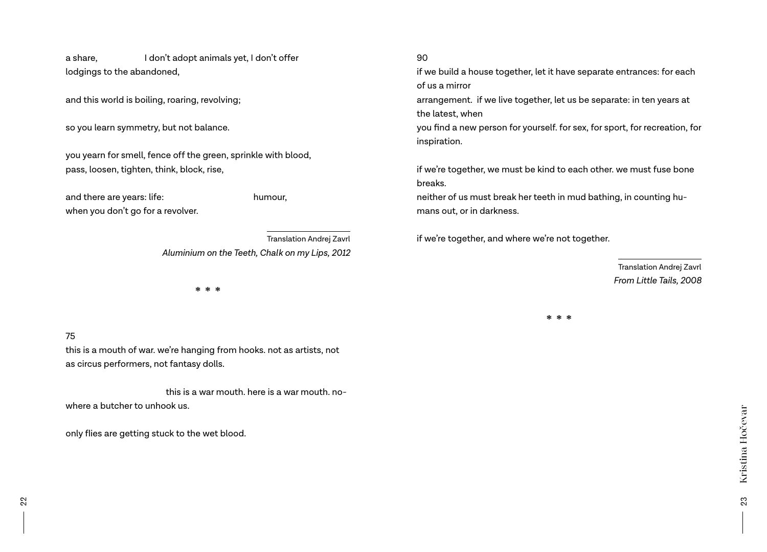a share, I don't adopt animals yet, I don't offer lodgings to the abandoned,

and this world is boiling, roaring, revolving;

so you learn symmetry, but not balance.

you yearn for smell, fence off the green, sprinkle with blood, pass, loosen, tighten, think, block, rise,

and there are years: life: humour, when you don't go for a revolver.

> Translation Andrej Zavrl *Aluminium on the Teeth, Chalk on my Lips, 2012*

> > \* \* \*

### 75

this is a mouth of war. we're hanging from hooks. not as artists, not as circus performers, not fantasy dolls.

 this is a war mouth. here is a war mouth. nowhere a butcher to unhook us.

only flies are getting stuck to the wet blood.

#### 90

if we build a house together, let it have separate entrances: for each of us a mirror

arrangement. if we live together, let us be separate: in ten years at the latest, when

you find a new person for yourself. for sex, for sport, for recreation, for inspiration.

if we're together, we must be kind to each other. we must fuse bone breaks.

neither of us must break her teeth in mud bathing, in counting humans out, or in darkness.

if we're together, and where we're not together.

Translation Andrej Zavrl *From Little Tails, 2008*

\* \* \*

23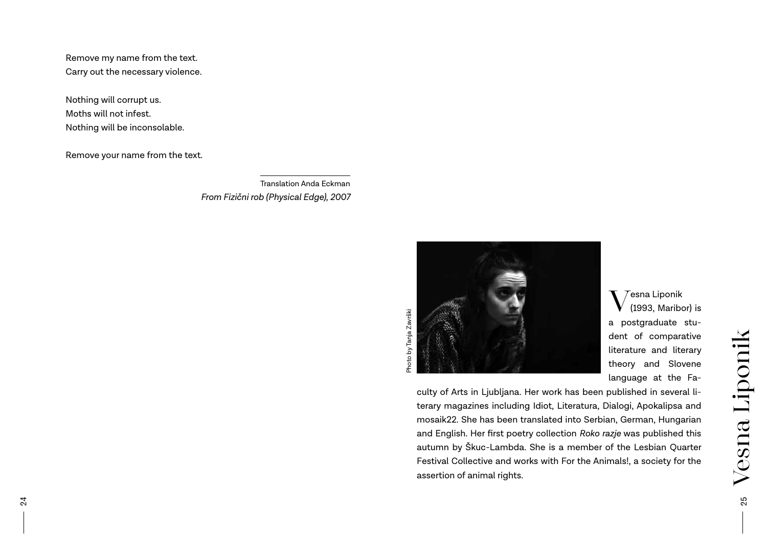Remove my name from the text. Carry out the necessary violence.

Nothing will corrupt us. Moths will not infest. Nothing will be inconsolable.

Remove your name from the text.

Translation Anda Eckman *From Fizični rob (Physical Edge), 2007*

Photo by Tanja Završki



 $\rm V$ <sup>esna Liponik</sup><br>(1993, Maribor) is a postgraduate student of comparative literature and literary theory and Slovene language at the Fa-

culty of Arts in Ljubljana. Her work has been published in several literary magazines including Idiot, Literatura, Dialogi, Apokalipsa and mosaik22. She has been translated into Serbian, German, Hungarian and English. Her first poetry collection *Roko razje* was published this autumn by Škuc-Lambda. She is a member of the Lesbian Quarter Festival Collective and works with For the Animals!, a society for the assertion of animal rights.

25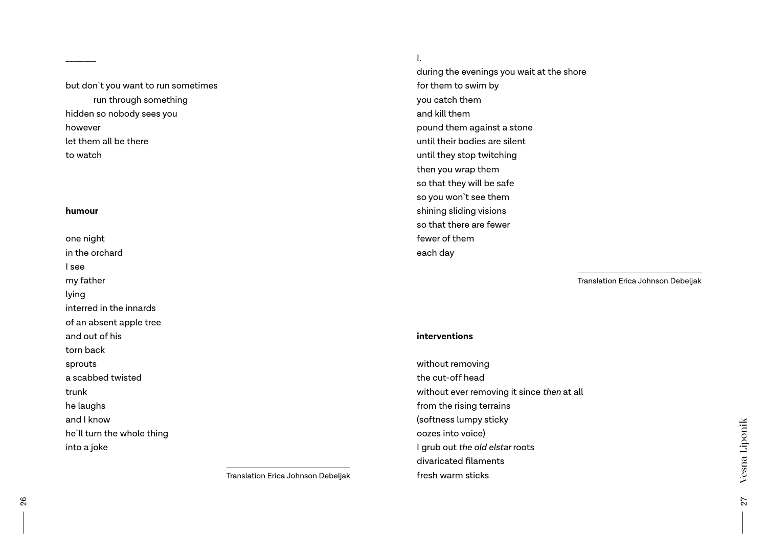but don`t you want to run sometimes run through something hidden so nobody sees you however let them all be there to watch

#### **humour**

\_\_\_\_\_\_\_\_

one night in the orchard I see my father lying interred in the innards of an absent apple tree and out of his torn back sprouts a scabbed twisted trunk he laughs and I know he`ll turn the whole thing into a joke

Translation Erica Johnson Debeljak

#### I.

during the evenings you wait at the shore for them to swim by you catch them and kill them pound them against a stone until their bodies are silent until they stop twitching then you wrap them so that they will be safe so you won`t see them shining sliding visions so that there are fewer fewer of them each day

Translation Erica Johnson Debeljak

#### **interventions**

without removing the cut-off head without ever removing it since *then* at all from the rising terrains (softness lumpy sticky oozes into voice) I grub out *the old elstar* roots divaricated filaments fresh warm sticks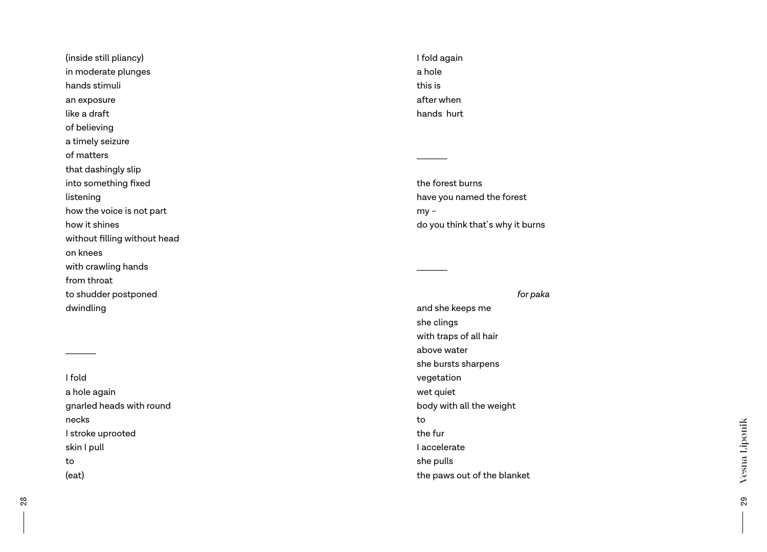(inside still pliancy) in moderate plunges hands stimuli an exposure like a draft of believing a timely seizure of matters that dashingly slip into something fixed listening how the voice is not part how it shines without filling without head on knees with crawling hands from throat to shudder postponed dwindling

I fold a hole again gnarled heads with round necks I stroke uprooted skin I pull to (eat)

\_\_\_\_\_\_\_\_

I fold again a hole this is after when hands hurt

\_\_\_\_\_\_\_\_

\_\_\_\_\_\_\_\_

the forest burns have you named the forest  $my$ do you think that`s why it burns

#### *for paka*

and she keeps me she clings with traps of all hair above water she bursts sharpens vegetation wet quiet body with all the weight to the fur I accelerate she pulls the paws out of the blanket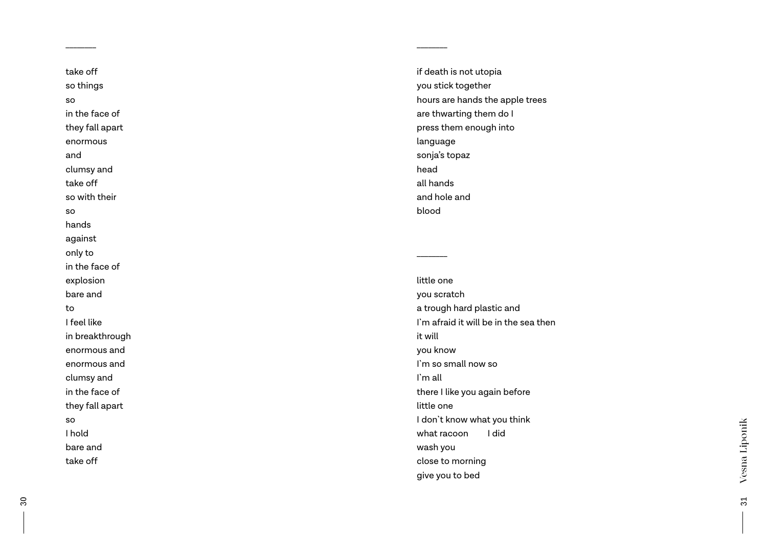take off so things so in the face of they fall apart enormous and clumsy and take off so with their so hands against only to in the face of explosion bare and to I feel like in breakthrough enormous and enormous and clumsy and in the face of they fall apart so I hold bare and take off

\_\_\_\_\_\_\_\_

if death is not utopia you stick together hours are hands the apple trees are thwarting them do I press them enough into language sonja's topaz head all hands and hole and blood

\_\_\_\_\_\_\_\_

\_\_\_\_\_\_\_\_

little one you scratch a trough hard plastic and I`m afraid it will be in the sea then it will you know I`m so small now so I`m all there I like you again before little one I don`t know what you think what racoon I did wash you close to morning give you to bed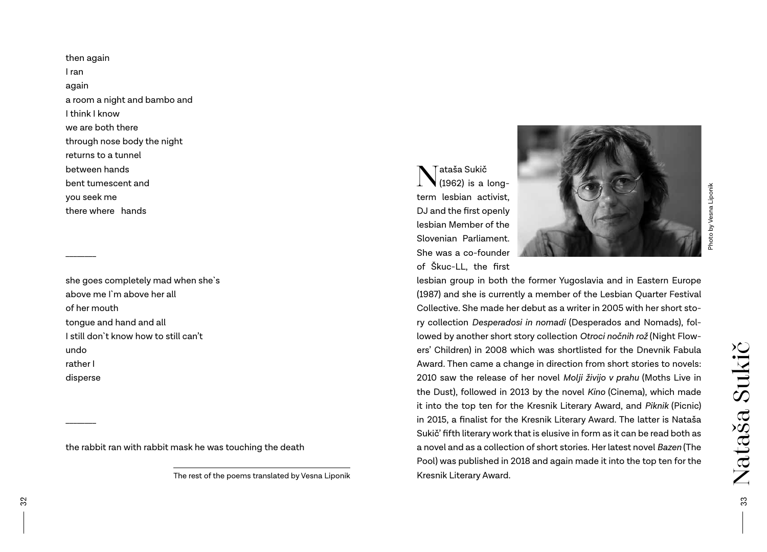then again I ran again a room a night and bambo and I think I know we are both there through nose body the night returns to a tunnel between hands bent tumescent and you seek me there where hands

\_\_\_\_\_\_\_\_

\_\_\_\_\_\_\_\_

she goes completely mad when she`s above me I`m above her all of her mouth tongue and hand and all I still don`t know how to still can't undo rather I disperse

the rabbit ran with rabbit mask he was touching the death

The rest of the poems translated by Vesna Liponik

Nataša Sukič (1962) is a longterm lesbian activist, DJ and the first openly lesbian Member of the Slovenian Parliament. She was a co-founder of Škuc-LL, the first



Photo by Vesna Liponik Photo by Vesna Liponik

lesbian group in both the former Yugoslavia and in Eastern Europe (1987) and she is currently a member of the Lesbian Quarter Festival Collective. She made her debut as a writer in 2005 with her short story collection *Desperadosi in nomadi* (Desperados and Nomads), followed by another short story collection *Otroci nočnih rož* (Night Flowers' Children) in 2008 which was shortlisted for the Dnevnik Fabula Award. Then came a change in direction from short stories to novels: 2010 saw the release of her novel *Molji živijo v prahu* (Moths Live in the Dust), followed in 2013 by the novel *Kino* (Cinema), which made it into the top ten for the Kresnik Literary Award, and *Piknik* (Picnic) in 2015, a finalist for the Kresnik Literary Award. The latter is Nataša Sukič' fifth literary work that is elusive in form as it can be read both as a novel and as a collection of short stories. Her latest novel *Bazen* (The Pool) was published in 2018 and again made it into the top ten for the Kresnik Literary Award.

Nataša Sukič

Nataša Sukič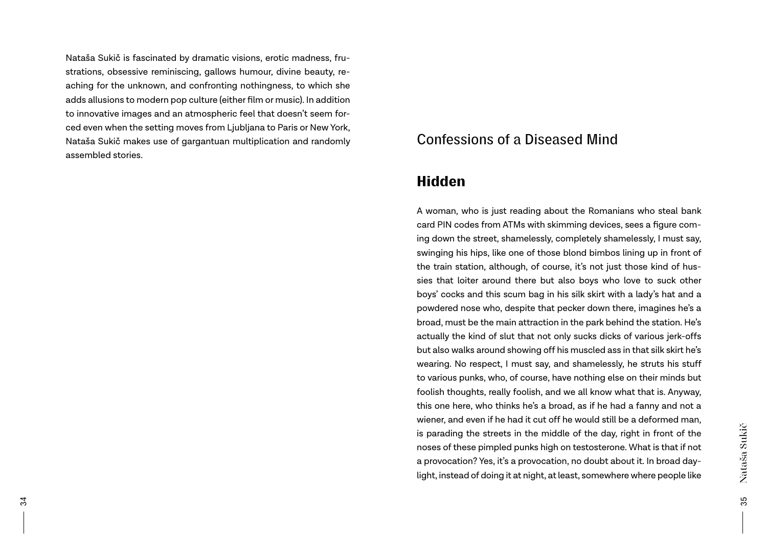Nataša Sukič is fascinated by dramatic visions, erotic madness, frustrations, obsessive reminiscing, gallows humour, divine beauty, reaching for the unknown, and confronting nothingness, to which she adds allusions to modern pop culture (either film or music). In addition to innovative images and an atmospheric feel that doesn't seem forced even when the setting moves from Ljubljana to Paris or New York, Nataša Sukič makes use of gargantuan multiplication and randomly assembled stories.

# Confessions of a Diseased Mind

# Hidden

A woman, who is just reading about the Romanians who steal bank card PIN codes from ATMs with skimming devices, sees a figure coming down the street, shamelessly, completely shamelessly, I must say, swinging his hips, like one of those blond bimbos lining up in front of the train station, although, of course, it's not just those kind of hussies that loiter around there but also boys who love to suck other boys' cocks and this scum bag in his silk skirt with a lady's hat and a powdered nose who, despite that pecker down there, imagines he's a broad, must be the main attraction in the park behind the station. He's actually the kind of slut that not only sucks dicks of various jerk-offs but also walks around showing off his muscled ass in that silk skirt he's wearing. No respect, I must say, and shamelessly, he struts his stuff to various punks, who, of course, have nothing else on their minds but foolish thoughts, really foolish, and we all know what that is. Anyway, this one here, who thinks he's a broad, as if he had a fanny and not a wiener, and even if he had it cut off he would still be a deformed man, is parading the streets in the middle of the day, right in front of the noses of these pimpled punks high on testosterone. What is that if not a provocation? Yes, it's a provocation, no doubt about it. In broad daylight, instead of doing it at night, at least, somewhere where people like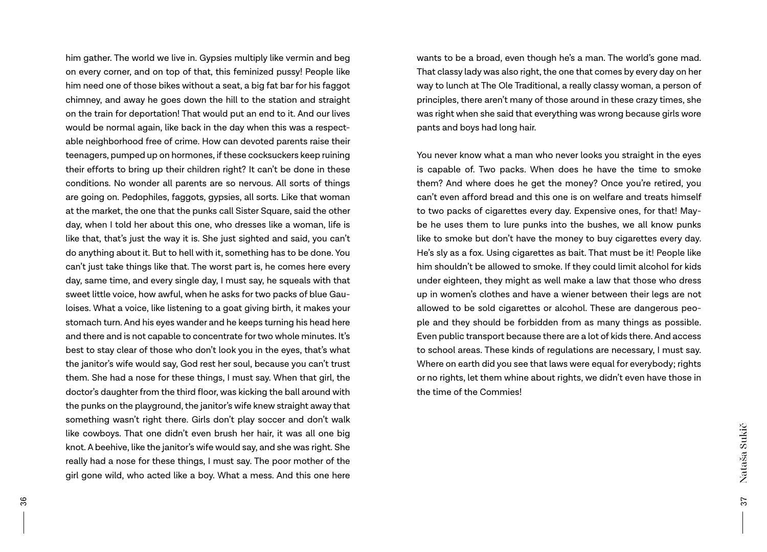him gather. The world we live in. Gypsies multiply like vermin and beg on every corner, and on top of that, this feminized pussy! People like him need one of those bikes without a seat, a big fat bar for his faggot chimney, and away he goes down the hill to the station and straight on the train for deportation! That would put an end to it. And our lives would be normal again, like back in the day when this was a respectable neighborhood free of crime. How can devoted parents raise their teenagers, pumped up on hormones, if these cocksuckers keep ruining their efforts to bring up their children right? It can't be done in these conditions. No wonder all parents are so nervous. All sorts of things are going on. Pedophiles, faggots, gypsies, all sorts. Like that woman at the market, the one that the punks call Sister Square, said the other day, when I told her about this one, who dresses like a woman, life is like that, that's just the way it is. She just sighted and said, you can't do anything about it. But to hell with it, something has to be done. You can't just take things like that. The worst part is, he comes here every day, same time, and every single day, I must say, he squeals with that sweet little voice, how awful, when he asks for two packs of blue Gauloises. What a voice, like listening to a goat giving birth, it makes your stomach turn. And his eyes wander and he keeps turning his head here and there and is not capable to concentrate for two whole minutes. It's best to stay clear of those who don't look you in the eyes, that's what the janitor's wife would say, God rest her soul, because you can't trust them. She had a nose for these things, I must say. When that girl, the doctor's daughter from the third floor, was kicking the ball around with the punks on the playground, the janitor's wife knew straight away that something wasn't right there. Girls don't play soccer and don't walk like cowboys. That one didn't even brush her hair, it was all one big knot. A beehive, like the janitor's wife would say, and she was right. She really had a nose for these things, I must say. The poor mother of the girl gone wild, who acted like a boy. What a mess. And this one here

wants to be a broad, even though he's a man. The world's gone mad. That classy lady was also right, the one that comes by every day on her way to lunch at The Ole Traditional, a really classy woman, a person of principles, there aren't many of those around in these crazy times, she was right when she said that everything was wrong because girls wore pants and boys had long hair.

You never know what a man who never looks you straight in the eyes is capable of. Two packs. When does he have the time to smoke them? And where does he get the money? Once you're retired, you can't even afford bread and this one is on welfare and treats himself to two packs of cigarettes every day. Expensive ones, for that! Maybe he uses them to lure punks into the bushes, we all know punks like to smoke but don't have the money to buy cigarettes every day. He's sly as a fox. Using cigarettes as bait. That must be it! People like him shouldn't be allowed to smoke. If they could limit alcohol for kids under eighteen, they might as well make a law that those who dress up in women's clothes and have a wiener between their legs are not allowed to be sold cigarettes or alcohol. These are dangerous people and they should be forbidden from as many things as possible. Even public transport because there are a lot of kids there. And access to school areas. These kinds of regulations are necessary, I must say. Where on earth did you see that laws were equal for everybody; rights or no rights, let them whine about rights, we didn't even have those in the time of the Commies!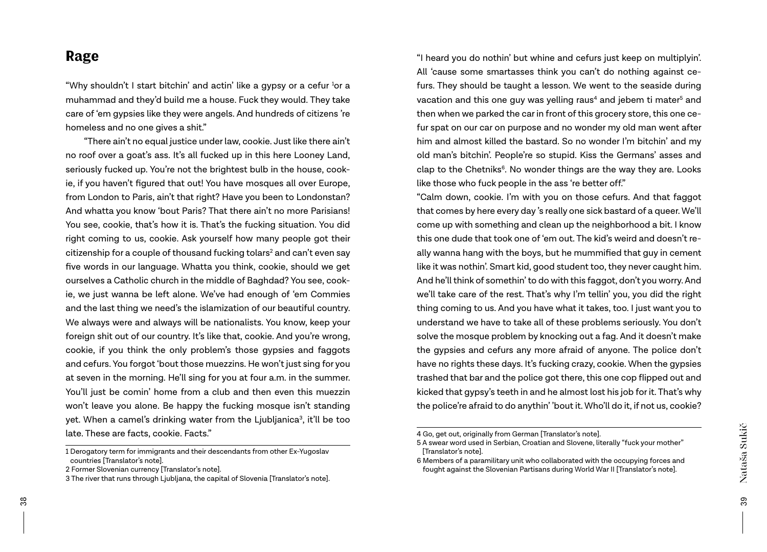# Rage

"Why shouldn't I start bitchin' and actin' like a gypsy or a cefur 1 or a muhammad and they'd build me a house. Fuck they would. They take care of 'em gypsies like they were angels. And hundreds of citizens 're homeless and no one gives a shit."

"There ain't no equal justice under law, cookie. Just like there ain't no roof over a goat's ass. It's all fucked up in this here Looney Land, seriously fucked up. You're not the brightest bulb in the house, cookie, if you haven't figured that out! You have mosques all over Europe, from London to Paris, ain't that right? Have you been to Londonstan? And whatta you know 'bout Paris? That there ain't no more Parisians! You see, cookie, that's how it is. That's the fucking situation. You did right coming to us, cookie. Ask yourself how many people got their citizenship for a couple of thousand fucking tolars $^{\scriptscriptstyle 2}$  and can't even say five words in our language. Whatta you think, cookie, should we get ourselves a Catholic church in the middle of Baghdad? You see, cookie, we just wanna be left alone. We've had enough of 'em Commies and the last thing we need's the islamization of our beautiful country. We always were and always will be nationalists. You know, keep your foreign shit out of our country. It's like that, cookie. And you're wrong, cookie, if you think the only problem's those gypsies and faggots and cefurs. You forgot 'bout those muezzins. He won't just sing for you at seven in the morning. He'll sing for you at four a.m. in the summer. You'll just be comin' home from a club and then even this muezzin won't leave you alone. Be happy the fucking mosque isn't standing yet. When a camel's drinking water from the Ljubljanica<sup>3</sup>, it'll be too late. These are facts, cookie. Facts."

"I heard you do nothin' but whine and cefurs just keep on multiplyin'. All 'cause some smartasses think you can't do nothing against cefurs. They should be taught a lesson. We went to the seaside during vacation and this one guy was yelling raus $^{\rm 4}$  and jebem ti mater $^{\rm 5}$  and then when we parked the car in front of this grocery store, this one cefur spat on our car on purpose and no wonder my old man went after him and almost killed the bastard. So no wonder I'm bitchin' and my old man's bitchin'. People're so stupid. Kiss the Germans' asses and clap to the Chetniks<sup>6</sup>. No wonder things are the way they are. Looks like those who fuck people in the ass 're better off."

"Calm down, cookie. I'm with you on those cefurs. And that faggot that comes by here every day 's really one sick bastard of a queer. We'll come up with something and clean up the neighborhood a bit. I know this one dude that took one of 'em out. The kid's weird and doesn't really wanna hang with the boys, but he mummified that guy in cement like it was nothin'. Smart kid, good student too, they never caught him. And he'll think of somethin' to do with this faggot, don't you worry. And we'll take care of the rest. That's why I'm tellin' you, you did the right thing coming to us. And you have what it takes, too. I just want you to understand we have to take all of these problems seriously. You don't solve the mosque problem by knocking out a fag. And it doesn't make the gypsies and cefurs any more afraid of anyone. The police don't have no rights these days. It's fucking crazy, cookie. When the gypsies trashed that bar and the police got there, this one cop flipped out and kicked that gypsy's teeth in and he almost lost his job for it. That's why the police're afraid to do anythin' 'bout it. Who'll do it, if not us, cookie?

<sup>1</sup> Derogatory term for immigrants and their descendants from other Ex-Yugoslav countries [Translator's note].

<sup>2</sup> Former Slovenian currency [Translator's note].

<sup>3</sup> The river that runs through Ljubljana, the capital of Slovenia [Translator's note].

<sup>4</sup> Go, get out, originally from German [Translator's note].

<sup>5</sup> A swear word used in Serbian, Croatian and Slovene, literally "fuck your mother" [Translator's note].

<sup>6</sup> Members of a paramilitary unit who collaborated with the occupying forces and fought against the Slovenian Partisans during World War II [Translator's note].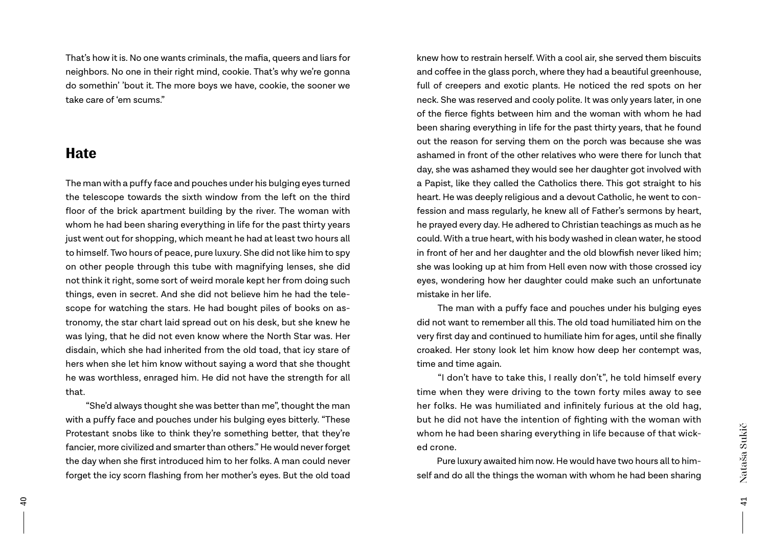That's how it is. No one wants criminals, the mafia, queers and liars for neighbors. No one in their right mind, cookie. That's why we're gonna do somethin' 'bout it. The more boys we have, cookie, the sooner we take care of 'em scums."

# **Hate**

The man with a puffy face and pouches under his bulging eyes turned the telescope towards the sixth window from the left on the third floor of the brick apartment building by the river. The woman with whom he had been sharing everything in life for the past thirty years just went out for shopping, which meant he had at least two hours all to himself. Two hours of peace, pure luxury. She did not like him to spy on other people through this tube with magnifying lenses, she did not think it right, some sort of weird morale kept her from doing such things, even in secret. And she did not believe him he had the telescope for watching the stars. He had bought piles of books on astronomy, the star chart laid spread out on his desk, but she knew he was lying, that he did not even know where the North Star was. Her disdain, which she had inherited from the old toad, that icy stare of hers when she let him know without saying a word that she thought he was worthless, enraged him. He did not have the strength for all that.

"She'd always thought she was better than me", thought the man with a puffy face and pouches under his bulging eyes bitterly. "These Protestant snobs like to think they're something better, that they're fancier, more civilized and smarter than others." He would never forget the day when she first introduced him to her folks. A man could never forget the icy scorn flashing from her mother's eyes. But the old toad

knew how to restrain herself. With a cool air, she served them biscuits and coffee in the glass porch, where they had a beautiful greenhouse, full of creepers and exotic plants. He noticed the red spots on her neck. She was reserved and cooly polite. It was only years later, in one of the fierce fights between him and the woman with whom he had been sharing everything in life for the past thirty years, that he found out the reason for serving them on the porch was because she was ashamed in front of the other relatives who were there for lunch that day, she was ashamed they would see her daughter got involved with a Papist, like they called the Catholics there. This got straight to his heart. He was deeply religious and a devout Catholic, he went to confession and mass regularly, he knew all of Father's sermons by heart, he prayed every day. He adhered to Christian teachings as much as he could. With a true heart, with his body washed in clean water, he stood in front of her and her daughter and the old blowfish never liked him; she was looking up at him from Hell even now with those crossed icy eyes, wondering how her daughter could make such an unfortunate mistake in her life.

The man with a puffy face and pouches under his bulging eyes did not want to remember all this. The old toad humiliated him on the very first day and continued to humiliate him for ages, until she finally croaked. Her stony look let him know how deep her contempt was, time and time again.

"I don't have to take this, I really don't", he told himself every time when they were driving to the town forty miles away to see her folks. He was humiliated and infinitely furious at the old hag, but he did not have the intention of fighting with the woman with whom he had been sharing everything in life because of that wicked crone.

Pure luxury awaited him now. He would have two hours all to himself and do all the things the woman with whom he had been sharing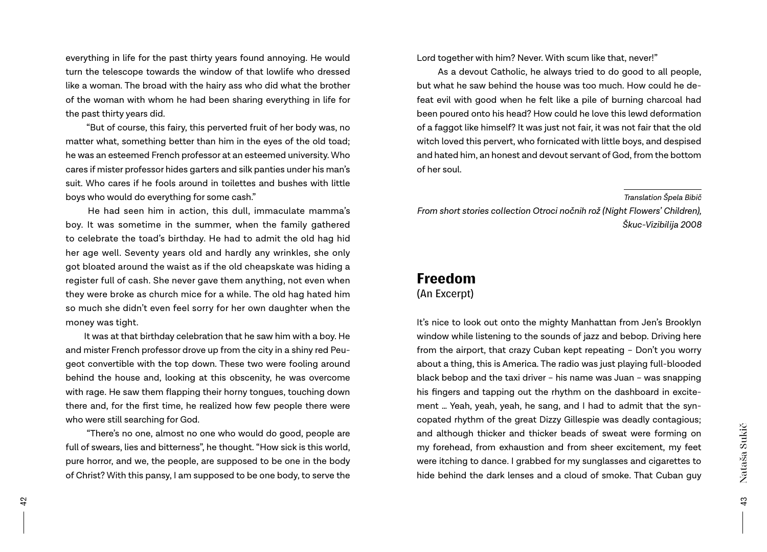everything in life for the past thirty years found annoying. He would turn the telescope towards the window of that lowlife who dressed like a woman. The broad with the hairy ass who did what the brother of the woman with whom he had been sharing everything in life for the past thirty years did.

"But of course, this fairy, this perverted fruit of her body was, no matter what, something better than him in the eyes of the old toad; he was an esteemed French professor at an esteemed university. Who cares if mister professor hides garters and silk panties under his man's suit. Who cares if he fools around in toilettes and bushes with little boys who would do everything for some cash."

He had seen him in action, this dull, immaculate mamma's boy. It was sometime in the summer, when the family gathered to celebrate the toad's birthday. He had to admit the old hag hid her age well. Seventy years old and hardly any wrinkles, she only got bloated around the waist as if the old cheapskate was hiding a register full of cash. She never gave them anything, not even when they were broke as church mice for a while. The old hag hated him so much she didn't even feel sorry for her own daughter when the money was tight.

It was at that birthday celebration that he saw him with a boy. He and mister French professor drove up from the city in a shiny red Peugeot convertible with the top down. These two were fooling around behind the house and, looking at this obscenity, he was overcome with rage. He saw them flapping their horny tongues, touching down there and, for the first time, he realized how few people there were who were still searching for God.

"There's no one, almost no one who would do good, people are full of swears, lies and bitterness", he thought. "How sick is this world, pure horror, and we, the people, are supposed to be one in the body of Christ? With this pansy, I am supposed to be one body, to serve the

Lord together with him? Never. With scum like that, never!"

As a devout Catholic, he always tried to do good to all people, but what he saw behind the house was too much. How could he defeat evil with good when he felt like a pile of burning charcoal had been poured onto his head? How could he love this lewd deformation of a faggot like himself? It was just not fair, it was not fair that the old witch loved this pervert, who fornicated with little boys, and despised and hated him, an honest and devout servant of God, from the bottom of her soul.

*Translation Špela Bibič*

*From short stories collection Otroci nočnih rož (Night Flowers' Children), Škuc-Vizibilija 2008*

# Freedom

## (An Excerpt)

It's nice to look out onto the mighty Manhattan from Jen's Brooklyn window while listening to the sounds of jazz and bebop. Driving here from the airport, that crazy Cuban kept repeating – Don't you worry about a thing, this is America. The radio was just playing full-blooded black bebop and the taxi driver – his name was Juan – was snapping his fingers and tapping out the rhythm on the dashboard in excitement … Yeah, yeah, yeah, he sang, and I had to admit that the syncopated rhythm of the great Dizzy Gillespie was deadly contagious; and although thicker and thicker beads of sweat were forming on my forehead, from exhaustion and from sheer excitement, my feet were itching to dance. I grabbed for my sunglasses and cigarettes to hide behind the dark lenses and a cloud of smoke. That Cuban guy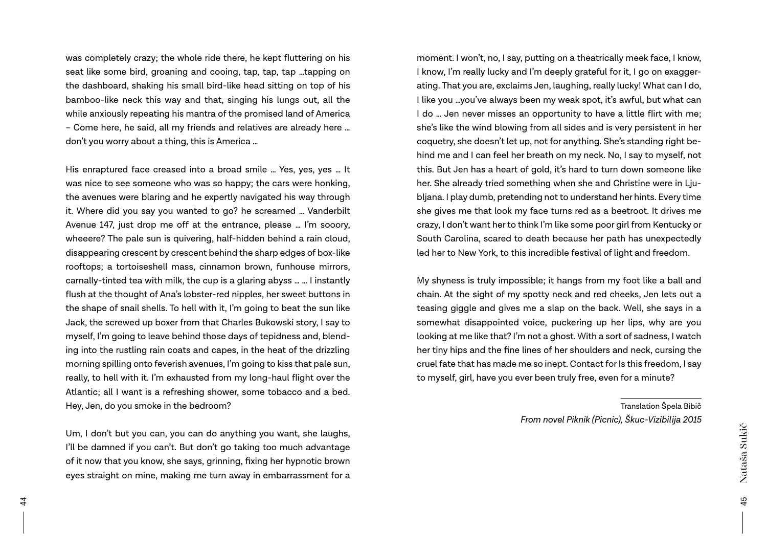was completely crazy; the whole ride there, he kept fluttering on his seat like some bird, groaning and cooing, tap, tap, tap …tapping on the dashboard, shaking his small bird-like head sitting on top of his bamboo-like neck this way and that, singing his lungs out, all the while anxiously repeating his mantra of the promised land of America – Come here, he said, all my friends and relatives are already here … don't you worry about a thing, this is America …

His enraptured face creased into a broad smile … Yes, yes, yes … It was nice to see someone who was so happy; the cars were honking, the avenues were blaring and he expertly navigated his way through it. Where did you say you wanted to go? he screamed … Vanderbilt Avenue 147, just drop me off at the entrance, please … I'm sooory, wheeere? The pale sun is quivering, half-hidden behind a rain cloud, disappearing crescent by crescent behind the sharp edges of box-like rooftops; a tortoiseshell mass, cinnamon brown, funhouse mirrors, carnally-tinted tea with milk, the cup is a glaring abyss … … I instantly flush at the thought of Ana's lobster-red nipples, her sweet buttons in the shape of snail shells. To hell with it, I'm going to beat the sun like Jack, the screwed up boxer from that Charles Bukowski story, I say to myself, I'm going to leave behind those days of tepidness and, blending into the rustling rain coats and capes, in the heat of the drizzling morning spilling onto feverish avenues, I'm going to kiss that pale sun, really, to hell with it. I'm exhausted from my long-haul flight over the Atlantic; all I want is a refreshing shower, some tobacco and a bed. Hey, Jen, do you smoke in the bedroom?

Um, I don't but you can, you can do anything you want, she laughs, I'll be damned if you can't. But don't go taking too much advantage of it now that you know, she says, grinning, fixing her hypnotic brown eyes straight on mine, making me turn away in embarrassment for a

moment. I won't, no, I say, putting on a theatrically meek face, I know, I know, I'm really lucky and I'm deeply grateful for it, I go on exaggerating. That you are, exclaims Jen, laughing, really lucky! What can I do, I like you …you've always been my weak spot, it's awful, but what can I do … Jen never misses an opportunity to have a little flirt with me; she's like the wind blowing from all sides and is very persistent in her coquetry, she doesn't let up, not for anything. She's standing right behind me and I can feel her breath on my neck. No, I say to myself, not this. But Jen has a heart of gold, it's hard to turn down someone like her. She already tried something when she and Christine were in Ljubljana. I play dumb, pretending not to understand her hints. Every time she gives me that look my face turns red as a beetroot. It drives me crazy, I don't want her to think I'm like some poor girl from Kentucky or South Carolina, scared to death because her path has unexpectedly led her to New York, to this incredible festival of light and freedom.

My shyness is truly impossible; it hangs from my foot like a ball and chain. At the sight of my spotty neck and red cheeks, Jen lets out a teasing giggle and gives me a slap on the back. Well, she says in a somewhat disappointed voice, puckering up her lips, why are you looking at me like that? I'm not a ghost. With a sort of sadness, I watch her tiny hips and the fine lines of her shoulders and neck, cursing the cruel fate that has made me so inept. Contact for Is this freedom, I say to myself, girl, have you ever been truly free, even for a minute?

> Translation Špela Bibič *From novel Piknik (Picnic), Škuc-Vizibilija 2015*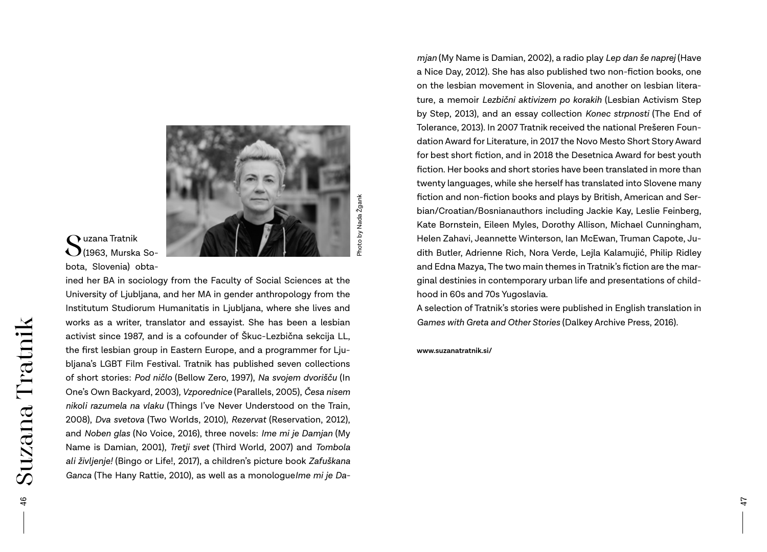

# Suzana Tratnik<br>S(1963, Murska Sobota, Slovenia) obta-

ined her BA in sociology from the Faculty of Social Sciences at the University of Ljubljana, and her MA in gender anthropology from the Institutum Studiorum Humanitatis in Ljubljana, where she lives and works as a writer, translator and essayist. She has been a lesbian activist since 1987, and is a cofounder of Škuc-Lezbična sekcija LL, the first lesbian group in Eastern Europe, and a programmer for Ljubljana's LGBT Film Festival. Tratnik has published seven collections of short stories: *Pod ničlo* (Bellow Zero, 1997), *Na svojem dvorišču* (In One's Own Backyard, 2003)*, Vzporednice* (Parallels, 2005), *Česa nisem nikoli razumela na vlaku* (Things I've Never Understood on the Train, 2008), *Dva svetova* (Two Worlds, 2010), *Rezervat* (Reservation, 2012), and *Noben glas* (No Voice, 2016), three novels: *Ime mi je Damjan* (My Name is Damian, 2001), *Tretji svet* (Third World, 2007) and *Tombola ali življenje!* (Bingo or Life!, 2017), a children's picture book *Zafuškana Ganca* (The Hany Rattie, 2010), as well as a monologue*Ime mi je Da-*

*mjan* (My Name is Damian, 2002), a radio play *Lep dan še naprej* (Have a Nice Day, 2012). She has also published two non-fiction books, one on the lesbian movement in Slovenia, and another on lesbian literature, a memoir *Lezbični aktivizem po korakih* (Lesbian Activism Step by Step, 2013), and an essay collection *Konec strpnosti* (The End of Tolerance, 2013). In 2007 Tratnik received the national Prešeren Foundation Award for Literature, in 2017 the Novo Mesto Short Story Award for best short fiction, and in 2018 the Desetnica Award for best youth fiction. Her books and short stories have been translated in more than twenty languages, while she herself has translated into Slovene many fiction and non-fiction books and plays by British, American and Serbian/Croatian/Bosnianauthors including Jackie Kay, Leslie Feinberg, Kate Bornstein, Eileen Myles, Dorothy Allison, Michael Cunningham, Helen Zahavi, Jeannette Winterson, Ian McEwan, Truman Capote, Judith Butler, Adrienne Rich, Nora Verde, Lejla Kalamujić, Philip Ridley and Edna Mazya, The two main themes in Tratnik's fiction are the marginal destinies in contemporary urban life and presentations of childhood in 60s and 70s Yugoslavia.

A selection of Tratnik's stories were published in English translation in *Games with Greta and Other Stories* (Dalkey Archive Press, 2016)*.*

**www.suzanatratnik.si/**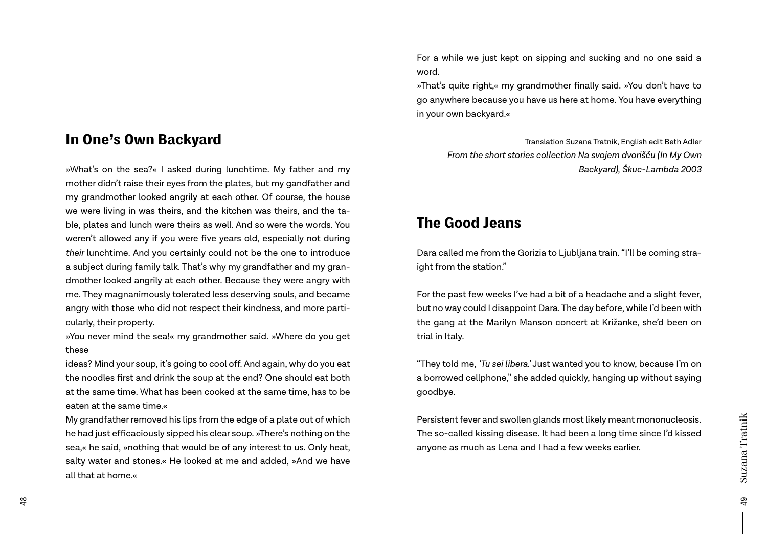# In One's Own Backyard

»What's on the sea?« I asked during lunchtime. My father and my mother didn't raise their eyes from the plates, but my gandfather and my grandmother looked angrily at each other. Of course, the house we were living in was theirs, and the kitchen was theirs, and the table, plates and lunch were theirs as well. And so were the words. You weren't allowed any if you were five years old, especially not during *their* lunchtime. And you certainly could not be the one to introduce a subject during family talk. That's why my grandfather and my grandmother looked angrily at each other. Because they were angry with me. They magnanimously tolerated less deserving souls, and became angry with those who did not respect their kindness, and more particularly, their property.

»You never mind the sea!« my grandmother said. »Where do you get these

ideas? Mind your soup, it's going to cool off. And again, why do you eat the noodles first and drink the soup at the end? One should eat both at the same time. What has been cooked at the same time, has to be eaten at the same time.«

My grandfather removed his lips from the edge of a plate out of which he had just efficaciously sipped his clear soup. »There's nothing on the sea,« he said, »nothing that would be of any interest to us. Only heat, salty water and stones.« He looked at me and added, »And we have all that at home.«

For a while we just kept on sipping and sucking and no one said a word.

»That's quite right,« my grandmother finally said. »You don't have to go anywhere because you have us here at home. You have everything in your own backyard.«

> Translation Suzana Tratnik, English edit Beth Adler *From the short stories collection Na svojem dvorišču (In My Own Backyard), Škuc-Lambda 2003*

# The Good Jeans

Dara called me from the Gorizia to Ljubljana train. "I'll be coming straight from the station."

For the past few weeks I've had a bit of a headache and a slight fever, but no way could I disappoint Dara. The day before, while I'd been with the gang at the Marilyn Manson concert at Križanke, she'd been on trial in Italy.

"They told me, *'Tu sei libera.'* Just wanted you to know, because I'm on a borrowed cellphone," she added quickly, hanging up without saying goodbye.

Persistent fever and swollen glands most likely meant mononucleosis. The so-called kissing disease. It had been a long time since I'd kissed anyone as much as Lena and I had a few weeks earlier.

49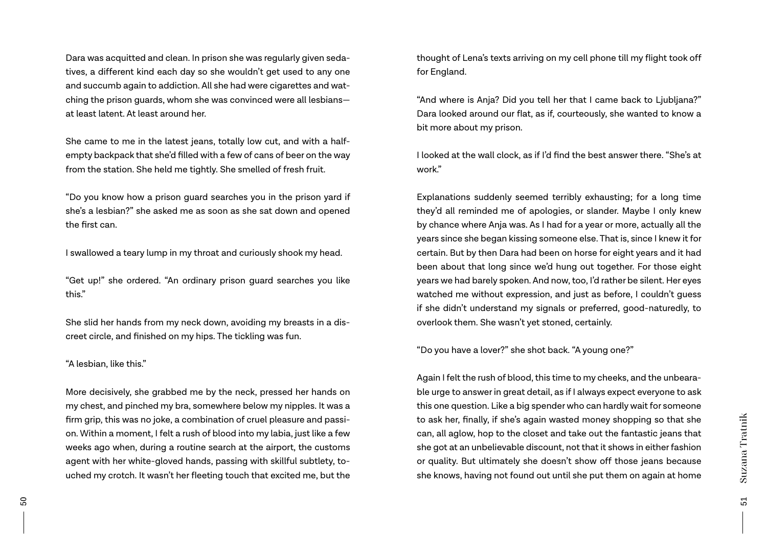Dara was acquitted and clean. In prison she was regularly given sedatives, a different kind each day so she wouldn't get used to any one and succumb again to addiction. All she had were cigarettes and watching the prison guards, whom she was convinced were all lesbians at least latent. At least around her.

She came to me in the latest jeans, totally low cut, and with a halfempty backpack that she'd filled with a few of cans of beer on the way from the station. She held me tightly. She smelled of fresh fruit.

"Do you know how a prison guard searches you in the prison yard if she's a lesbian?" she asked me as soon as she sat down and opened the first can.

I swallowed a teary lump in my throat and curiously shook my head.

"Get up!" she ordered. "An ordinary prison guard searches you like this."

She slid her hands from my neck down, avoiding my breasts in a discreet circle, and finished on my hips. The tickling was fun.

#### "A lesbian, like this."

More decisively, she grabbed me by the neck, pressed her hands on my chest, and pinched my bra, somewhere below my nipples. It was a firm grip, this was no joke, a combination of cruel pleasure and passion. Within a moment, I felt a rush of blood into my labia, just like a few weeks ago when, during a routine search at the airport, the customs agent with her white-gloved hands, passing with skillful subtlety, touched my crotch. It wasn't her fleeting touch that excited me, but the thought of Lena's texts arriving on my cell phone till my flight took off for England.

"And where is Anja? Did you tell her that I came back to Ljubljana?" Dara looked around our flat, as if, courteously, she wanted to know a bit more about my prison.

I looked at the wall clock, as if I'd find the best answer there. "She's at work."

Explanations suddenly seemed terribly exhausting; for a long time they'd all reminded me of apologies, or slander. Maybe I only knew by chance where Anja was. As I had for a year or more, actually all the years since she began kissing someone else. That is, since I knew it for certain. But by then Dara had been on horse for eight years and it had been about that long since we'd hung out together. For those eight years we had barely spoken. And now, too, I'd rather be silent. Her eyes watched me without expression, and just as before, I couldn't guess if she didn't understand my signals or preferred, good-naturedly, to overlook them. She wasn't yet stoned, certainly.

"Do you have a lover?" she shot back. "A young one?"

Again I felt the rush of blood, this time to my cheeks, and the unbearable urge to answer in great detail, as if I always expect everyone to ask this one question. Like a big spender who can hardly wait for someone to ask her, finally, if she's again wasted money shopping so that she can, all aglow, hop to the closet and take out the fantastic jeans that she got at an unbelievable discount, not that it shows in either fashion or quality. But ultimately she doesn't show off those jeans because she knows, having not found out until she put them on again at home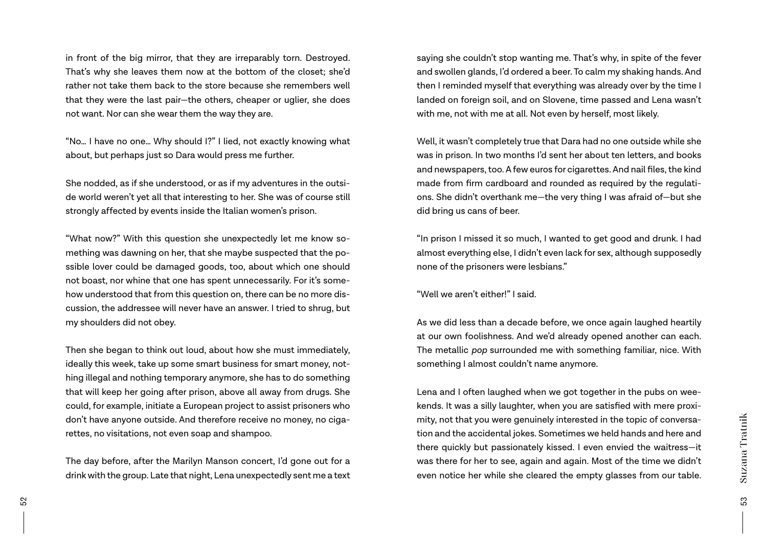in front of the big mirror, that they are irreparably torn. Destroyed. That's why she leaves them now at the bottom of the closet; she'd rather not take them back to the store because she remembers well that they were the last pair—the others, cheaper or uglier, she does not want. Nor can she wear them the way they are.

"No… I have no one… Why should I?" I lied, not exactly knowing what about, but perhaps just so Dara would press me further.

She nodded, as if she understood, or as if my adventures in the outside world weren't yet all that interesting to her. She was of course still strongly affected by events inside the Italian women's prison.

"What now?" With this question she unexpectedly let me know something was dawning on her, that she maybe suspected that the possible lover could be damaged goods, too, about which one should not boast, nor whine that one has spent unnecessarily. For it's somehow understood that from this question on, there can be no more discussion, the addressee will never have an answer. I tried to shrug, but my shoulders did not obey.

Then she began to think out loud, about how she must immediately, ideally this week, take up some smart business for smart money, nothing illegal and nothing temporary anymore, she has to do something that will keep her going after prison, above all away from drugs. She could, for example, initiate a European project to assist prisoners who don't have anyone outside. And therefore receive no money, no cigarettes, no visitations, not even soap and shampoo.

The day before, after the Marilyn Manson concert, I'd gone out for a drink with the group. Late that night, Lena unexpectedly sent me a text

saying she couldn't stop wanting me. That's why, in spite of the fever and swollen glands, I'd ordered a beer. To calm my shaking hands. And then I reminded myself that everything was already over by the time I landed on foreign soil, and on Slovene, time passed and Lena wasn't with me, not with me at all. Not even by herself, most likely.

Well, it wasn't completely true that Dara had no one outside while she was in prison. In two months I'd sent her about ten letters, and books and newspapers, too. A few euros for cigarettes. And nail files, the kind made from firm cardboard and rounded as required by the regulations. She didn't overthank me—the very thing I was afraid of—but she did bring us cans of beer.

"In prison I missed it so much, I wanted to get good and drunk. I had almost everything else, I didn't even lack for sex, although supposedly none of the prisoners were lesbians."

"Well we aren't either!" I said.

As we did less than a decade before, we once again laughed heartily at our own foolishness. And we'd already opened another can each. The metallic *pop* surrounded me with something familiar, nice. With something I almost couldn't name anymore.

Lena and I often laughed when we got together in the pubs on weekends. It was a silly laughter, when you are satisfied with mere proximity, not that you were genuinely interested in the topic of conversation and the accidental jokes. Sometimes we held hands and here and there quickly but passionately kissed. I even envied the waitress—it was there for her to see, again and again. Most of the time we didn't even notice her while she cleared the empty glasses from our table.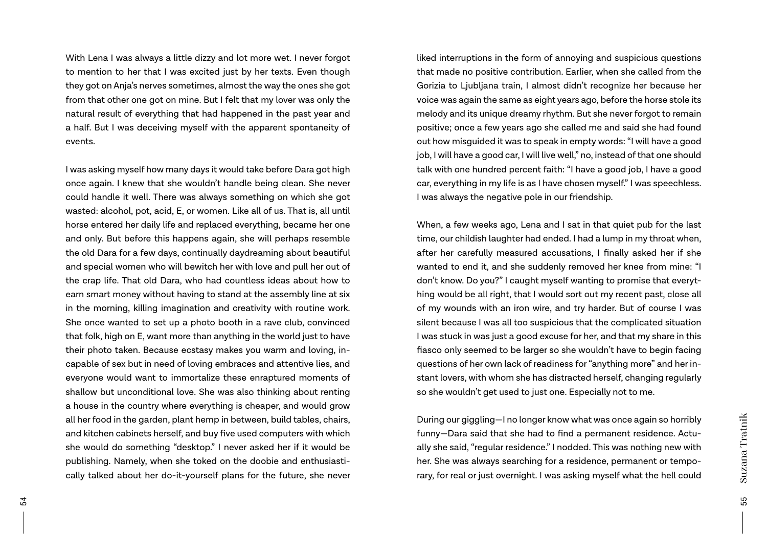With Lena I was always a little dizzy and lot more wet. I never forgot to mention to her that I was excited just by her texts. Even though they got on Anja's nerves sometimes, almost the way the ones she got from that other one got on mine. But I felt that my lover was only the natural result of everything that had happened in the past year and a half. But I was deceiving myself with the apparent spontaneity of events.

I was asking myself how many days it would take before Dara got high once again. I knew that she wouldn't handle being clean. She never could handle it well. There was always something on which she got wasted: alcohol, pot, acid, E, or women. Like all of us. That is, all until horse entered her daily life and replaced everything, became her one and only. But before this happens again, she will perhaps resemble the old Dara for a few days, continually daydreaming about beautiful and special women who will bewitch her with love and pull her out of the crap life. That old Dara, who had countless ideas about how to earn smart money without having to stand at the assembly line at six in the morning, killing imagination and creativity with routine work. She once wanted to set up a photo booth in a rave club, convinced that folk, high on E, want more than anything in the world just to have their photo taken. Because ecstasy makes you warm and loving, incapable of sex but in need of loving embraces and attentive lies, and everyone would want to immortalize these enraptured moments of shallow but unconditional love. She was also thinking about renting a house in the country where everything is cheaper, and would grow all her food in the garden, plant hemp in between, build tables, chairs, and kitchen cabinets herself, and buy five used computers with which she would do something "desktop." I never asked her if it would be publishing. Namely, when she toked on the doobie and enthusiastically talked about her do-it-yourself plans for the future, she never

liked interruptions in the form of annoying and suspicious questions that made no positive contribution. Earlier, when she called from the Gorizia to Ljubljana train, I almost didn't recognize her because her voice was again the same as eight years ago, before the horse stole its melody and its unique dreamy rhythm. But she never forgot to remain positive; once a few years ago she called me and said she had found out how misguided it was to speak in empty words: "I will have a good job, I will have a good car, I will live well," no, instead of that one should talk with one hundred percent faith: "I have a good job, I have a good car, everything in my life is as I have chosen myself." I was speechless. I was always the negative pole in our friendship.

When, a few weeks ago, Lena and I sat in that quiet pub for the last time, our childish laughter had ended. I had a lump in my throat when, after her carefully measured accusations, I finally asked her if she wanted to end it, and she suddenly removed her knee from mine: "I don't know. Do you?" I caught myself wanting to promise that everything would be all right, that I would sort out my recent past, close all of my wounds with an iron wire, and try harder. But of course I was silent because I was all too suspicious that the complicated situation I was stuck in was just a good excuse for her, and that my share in this fiasco only seemed to be larger so she wouldn't have to begin facing questions of her own lack of readiness for "anything more" and her instant lovers, with whom she has distracted herself, changing regularly so she wouldn't get used to just one. Especially not to me.

During our giggling—I no longer know what was once again so horribly funny—Dara said that she had to find a permanent residence. Actually she said, "regular residence." I nodded. This was nothing new with her. She was always searching for a residence, permanent or temporary, for real or just overnight. I was asking myself what the hell could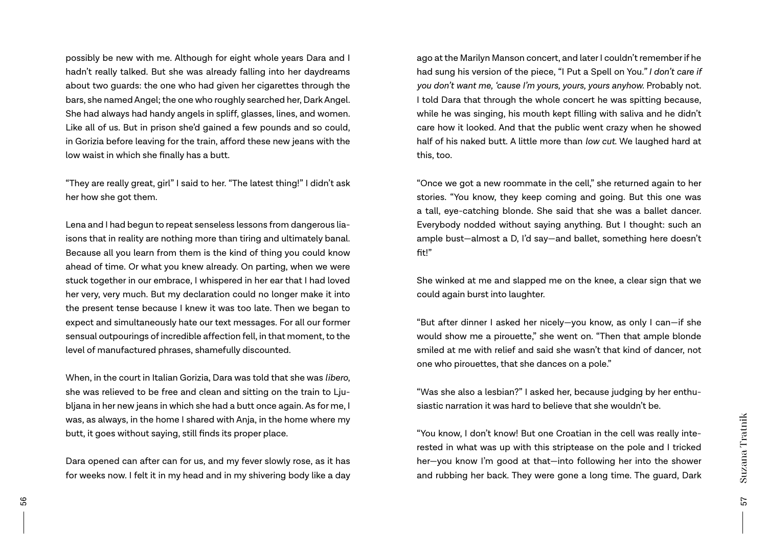possibly be new with me. Although for eight whole years Dara and I hadn't really talked. But she was already falling into her daydreams about two guards: the one who had given her cigarettes through the bars, she named Angel; the one who roughly searched her, Dark Angel. She had always had handy angels in spliff, glasses, lines, and women. Like all of us. But in prison she'd gained a few pounds and so could, in Gorizia before leaving for the train, afford these new jeans with the low waist in which she finally has a butt.

"They are really great, girl" I said to her. "The latest thing!" I didn't ask her how she got them.

Lena and I had begun to repeat senseless lessons from dangerous liaisons that in reality are nothing more than tiring and ultimately banal. Because all you learn from them is the kind of thing you could know ahead of time. Or what you knew already. On parting, when we were stuck together in our embrace, I whispered in her ear that I had loved her very, very much. But my declaration could no longer make it into the present tense because I knew it was too late. Then we began to expect and simultaneously hate our text messages. For all our former sensual outpourings of incredible affection fell, in that moment, to the level of manufactured phrases, shamefully discounted.

When, in the court in Italian Gorizia, Dara was told that she was *libero*, she was relieved to be free and clean and sitting on the train to Ljubljana in her new jeans in which she had a butt once again. As for me, I was, as always, in the home I shared with Anja, in the home where my butt, it goes without saying, still finds its proper place.

Dara opened can after can for us, and my fever slowly rose, as it has for weeks now. I felt it in my head and in my shivering body like a day

ago at the Marilyn Manson concert, and later I couldn't remember if he had sung his version of the piece, "I Put a Spell on You*." I don't care if you don't want me, 'cause I'm yours, yours, yours anyhow.* Probably not. I told Dara that through the whole concert he was spitting because, while he was singing, his mouth kept filling with saliva and he didn't care how it looked. And that the public went crazy when he showed half of his naked butt. A little more than *low cut*. We laughed hard at this, too.

"Once we got a new roommate in the cell," she returned again to her stories. "You know, they keep coming and going. But this one was a tall, eye-catching blonde. She said that she was a ballet dancer. Everybody nodded without saying anything. But I thought: such an ample bust—almost a D, I'd say—and ballet, something here doesn't fit!"

She winked at me and slapped me on the knee, a clear sign that we could again burst into laughter.

"But after dinner I asked her nicely—you know, as only I can—if she would show me a pirouette," she went on. "Then that ample blonde smiled at me with relief and said she wasn't that kind of dancer, not one who pirouettes, that she dances on a pole."

"Was she also a lesbian?" I asked her, because judging by her enthusiastic narration it was hard to believe that she wouldn't be.

"You know, I don't know! But one Croatian in the cell was really interested in what was up with this striptease on the pole and I tricked her—you know I'm good at that—into following her into the shower and rubbing her back. They were gone a long time. The guard, Dark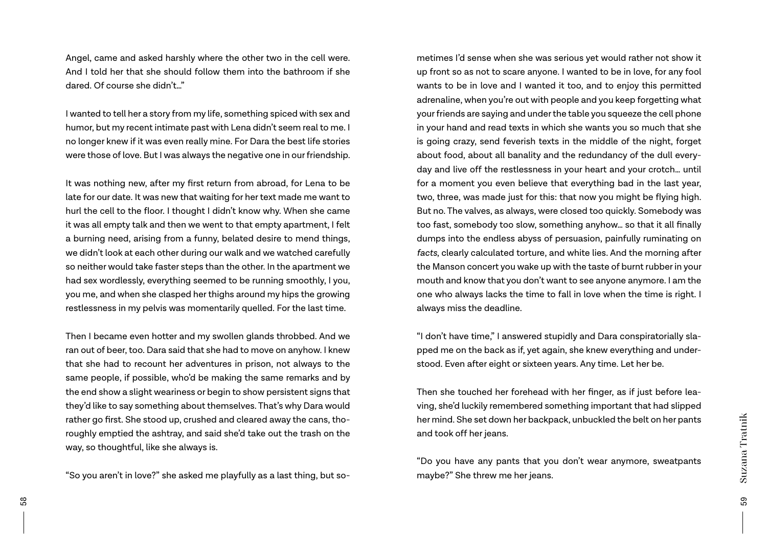Angel, came and asked harshly where the other two in the cell were. And I told her that she should follow them into the bathroom if she dared. Of course she didn't…"

I wanted to tell her a story from my life, something spiced with sex and humor, but my recent intimate past with Lena didn't seem real to me. I no longer knew if it was even really mine. For Dara the best life stories were those of love. But I was always the negative one in our friendship.

It was nothing new, after my first return from abroad, for Lena to be late for our date. It was new that waiting for her text made me want to hurl the cell to the floor. I thought I didn't know why. When she came it was all empty talk and then we went to that empty apartment, I felt a burning need, arising from a funny, belated desire to mend things, we didn't look at each other during our walk and we watched carefully so neither would take faster steps than the other. In the apartment we had sex wordlessly, everything seemed to be running smoothly, I you, you me, and when she clasped her thighs around my hips the growing restlessness in my pelvis was momentarily quelled. For the last time.

Then I became even hotter and my swollen glands throbbed. And we ran out of beer, too. Dara said that she had to move on anyhow. I knew that she had to recount her adventures in prison, not always to the same people, if possible, who'd be making the same remarks and by the end show a slight weariness or begin to show persistent signs that they'd like to say something about themselves. That's why Dara would rather go first. She stood up, crushed and cleared away the cans, thoroughly emptied the ashtray, and said she'd take out the trash on the way, so thoughtful, like she always is.

"So you aren't in love?" she asked me playfully as a last thing, but so-

metimes I'd sense when she was serious yet would rather not show it up front so as not to scare anyone. I wanted to be in love, for any fool wants to be in love and I wanted it too, and to enjoy this permitted adrenaline, when you're out with people and you keep forgetting what your friends are saying and under the table you squeeze the cell phone in your hand and read texts in which she wants you so much that she is going crazy, send feverish texts in the middle of the night, forget about food, about all banality and the redundancy of the dull everyday and live off the restlessness in your heart and your crotch… until for a moment you even believe that everything bad in the last year, two, three, was made just for this: that now you might be flying high. But no. The valves, as always, were closed too quickly. Somebody was too fast, somebody too slow, something anyhow… so that it all finally dumps into the endless abyss of persuasion, painfully ruminating on *facts*, clearly calculated torture, and white lies. And the morning after the Manson concert you wake up with the taste of burnt rubber in your mouth and know that you don't want to see anyone anymore. I am the one who always lacks the time to fall in love when the time is right. I always miss the deadline.

"I don't have time," I answered stupidly and Dara conspiratorially slapped me on the back as if, yet again, she knew everything and understood. Even after eight or sixteen years. Any time. Let her be.

Then she touched her forehead with her finger, as if just before leaving, she'd luckily remembered something important that had slipped her mind. She set down her backpack, unbuckled the belt on her pants and took off her jeans.

"Do you have any pants that you don't wear anymore, sweatpants maybe?" She threw me her jeans.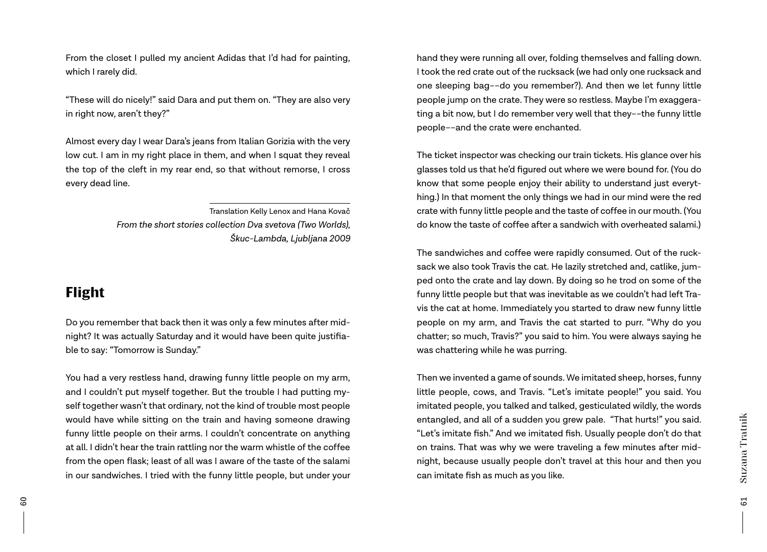From the closet I pulled my ancient Adidas that I'd had for painting, which I rarely did.

"These will do nicely!" said Dara and put them on. "They are also very in right now, aren't they?"

Almost every day I wear Dara's jeans from Italian Gorizia with the very low cut. I am in my right place in them, and when I squat they reveal the top of the cleft in my rear end, so that without remorse, I cross every dead line.

> Translation Kelly Lenox and Hana Kovač *From the short stories collection Dva svetova (Two Worlds), Škuc-Lambda, Ljubljana 2009*

# Flight

Do you remember that back then it was only a few minutes after midnight? It was actually Saturday and it would have been quite justifiable to say: "Tomorrow is Sunday."

You had a very restless hand, drawing funny little people on my arm, and I couldn't put myself together. But the trouble I had putting myself together wasn't that ordinary, not the kind of trouble most people would have while sitting on the train and having someone drawing funny little people on their arms. I couldn't concentrate on anything at all. I didn't hear the train rattling nor the warm whistle of the coffee from the open flask; least of all was I aware of the taste of the salami in our sandwiches. I tried with the funny little people, but under your hand they were running all over, folding themselves and falling down. I took the red crate out of the rucksack (we had only one rucksack and one sleeping bag––do you remember?). And then we let funny little people jump on the crate. They were so restless. Maybe I'm exaggerating a bit now, but I do remember very well that they––the funny little people––and the crate were enchanted.

The ticket inspector was checking our train tickets. His glance over his glasses told us that he'd figured out where we were bound for. (You do know that some people enjoy their ability to understand just everything.) In that moment the only things we had in our mind were the red crate with funny little people and the taste of coffee in our mouth. (You do know the taste of coffee after a sandwich with overheated salami.)

The sandwiches and coffee were rapidly consumed. Out of the rucksack we also took Travis the cat. He lazily stretched and, catlike, jumped onto the crate and lay down. By doing so he trod on some of the funny little people but that was inevitable as we couldn't had left Travis the cat at home. Immediately you started to draw new funny little people on my arm, and Travis the cat started to purr. "Why do you chatter; so much, Travis?" you said to him. You were always saying he was chattering while he was purring.

Then we invented a game of sounds. We imitated sheep, horses, funny little people, cows, and Travis. "Let's imitate people!" you said. You imitated people, you talked and talked, gesticulated wildly, the words entangled, and all of a sudden you grew pale. "That hurts!" you said. "Let's imitate fish." And we imitated fish. Usually people don't do that on trains. That was why we were traveling a few minutes after midnight, because usually people don't travel at this hour and then you can imitate fish as much as you like.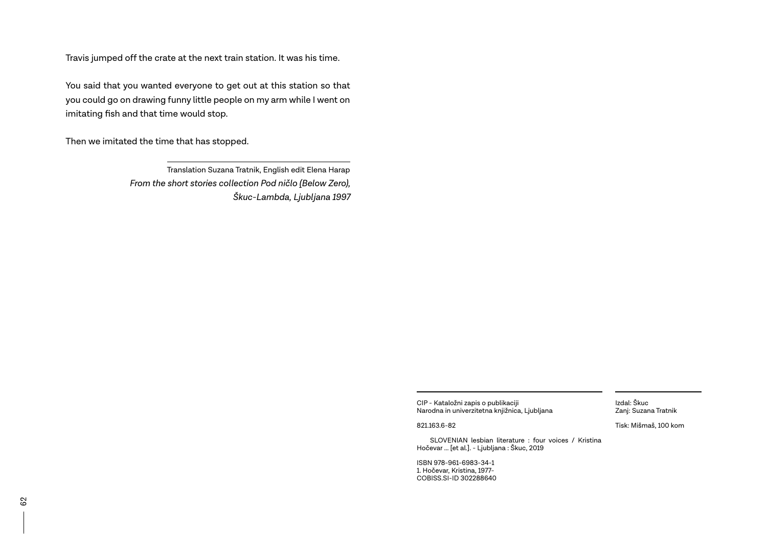Travis jumped off the crate at the next train station. It was his time.

You said that you wanted everyone to get out at this station so that you could go on drawing funny little people on my arm while I went on imitating fish and that time would stop.

Then we imitated the time that has stopped.

Translation Suzana Tratnik, English edit Elena Harap *From the short stories collection Pod ničlo (Below Zero), Škuc-Lambda, Ljubljana 1997*

> CIP - Kataložni zapis o publikaciji Narodna in univerzitetna knjižnica, Ljubljana

821.163.6-82

 SLOVENIAN lesbian literature : four voices / Kristina Hočevar ... [et al.]. - Ljubljana : Škuc, 2019

ISBN 978-961-6983-34-1 1. Hočevar, Kristina, 1977- COBISS.SI-ID 302288640

Izdal: Škuc Zanj: Suzana Tratnik

Tisk: Mišmaš, 100 kom